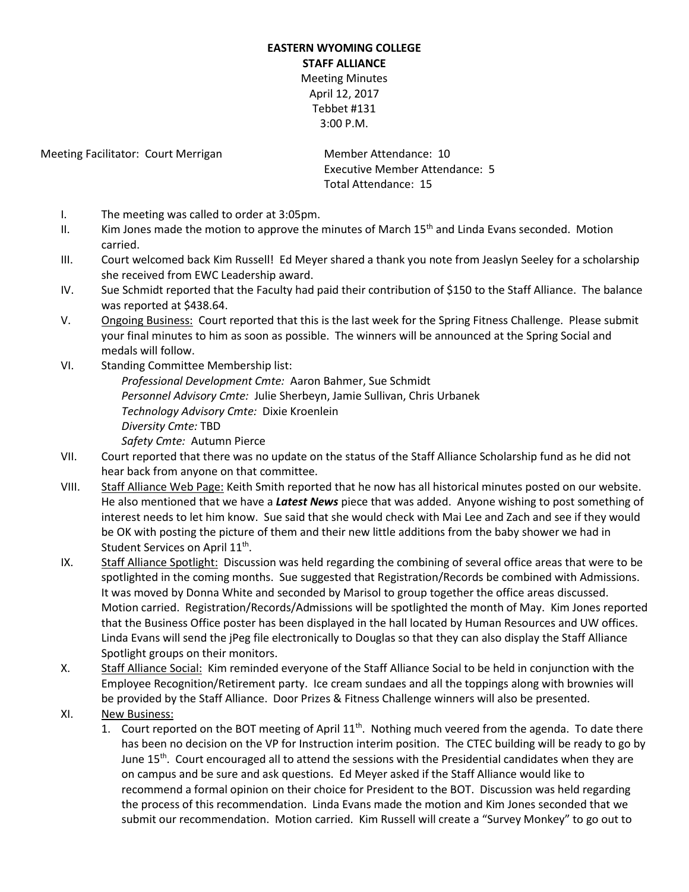## **EASTERN WYOMING COLLEGE STAFF ALLIANCE** Meeting Minutes April 12, 2017 Tebbet #131

3:00 P.M.

Meeting Facilitator: Court Merrigan Member Attendance: 10

Executive Member Attendance: 5 Total Attendance: 15

- I. The meeting was called to order at 3:05pm.
- II. Kim Jones made the motion to approve the minutes of March 15<sup>th</sup> and Linda Evans seconded. Motion carried.
- III. Court welcomed back Kim Russell! Ed Meyer shared a thank you note from Jeaslyn Seeley for a scholarship she received from EWC Leadership award.
- IV. Sue Schmidt reported that the Faculty had paid their contribution of \$150 to the Staff Alliance. The balance was reported at \$438.64.
- V. Ongoing Business: Court reported that this is the last week for the Spring Fitness Challenge. Please submit your final minutes to him as soon as possible. The winners will be announced at the Spring Social and medals will follow.
- VI. Standing Committee Membership list: *Professional Development Cmte:* Aaron Bahmer, Sue Schmidt *Personnel Advisory Cmte:* Julie Sherbeyn, Jamie Sullivan, Chris Urbanek *Technology Advisory Cmte:* Dixie Kroenlein *Diversity Cmte:* TBD *Safety Cmte:* Autumn Pierce
- VII. Court reported that there was no update on the status of the Staff Alliance Scholarship fund as he did not hear back from anyone on that committee.
- VIII. Staff Alliance Web Page: Keith Smith reported that he now has all historical minutes posted on our website. He also mentioned that we have a *Latest News* piece that was added. Anyone wishing to post something of interest needs to let him know. Sue said that she would check with Mai Lee and Zach and see if they would be OK with posting the picture of them and their new little additions from the baby shower we had in Student Services on April  $11^{\text{th}}$ .
- IX. Staff Alliance Spotlight: Discussion was held regarding the combining of several office areas that were to be spotlighted in the coming months. Sue suggested that Registration/Records be combined with Admissions. It was moved by Donna White and seconded by Marisol to group together the office areas discussed. Motion carried. Registration/Records/Admissions will be spotlighted the month of May. Kim Jones reported that the Business Office poster has been displayed in the hall located by Human Resources and UW offices. Linda Evans will send the jPeg file electronically to Douglas so that they can also display the Staff Alliance Spotlight groups on their monitors.
- X. Staff Alliance Social: Kim reminded everyone of the Staff Alliance Social to be held in conjunction with the Employee Recognition/Retirement party. Ice cream sundaes and all the toppings along with brownies will be provided by the Staff Alliance. Door Prizes & Fitness Challenge winners will also be presented.
- XI. New Business:
	- 1. Court reported on the BOT meeting of April  $11<sup>th</sup>$ . Nothing much veered from the agenda. To date there has been no decision on the VP for Instruction interim position. The CTEC building will be ready to go by June 15<sup>th</sup>. Court encouraged all to attend the sessions with the Presidential candidates when they are on campus and be sure and ask questions. Ed Meyer asked if the Staff Alliance would like to recommend a formal opinion on their choice for President to the BOT. Discussion was held regarding the process of this recommendation. Linda Evans made the motion and Kim Jones seconded that we submit our recommendation. Motion carried. Kim Russell will create a "Survey Monkey" to go out to